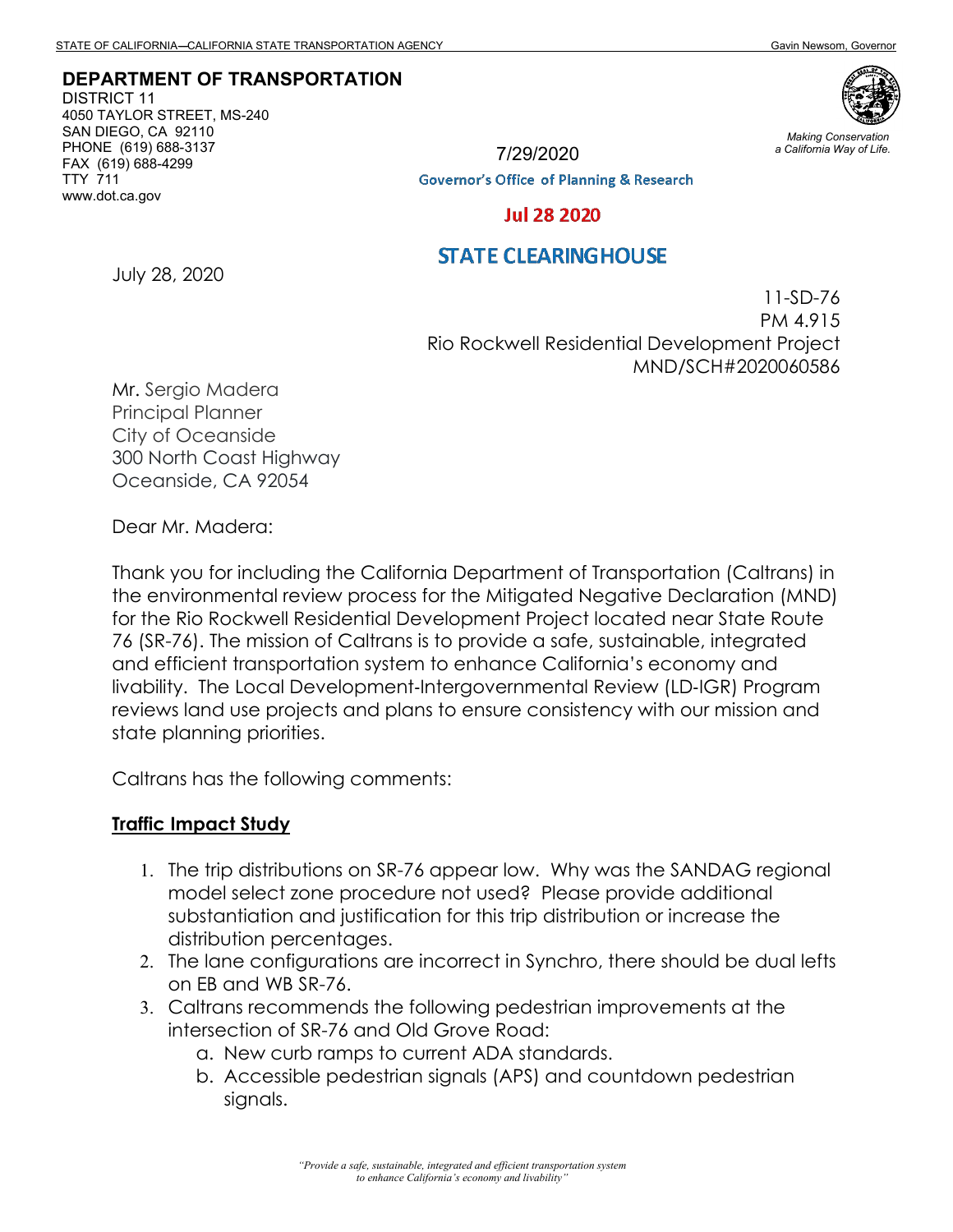#### **DEPARTMENT OF TRANSPORTATION**

DISTRICT 11 4050 TAYLOR STREET, MS-240 SAN DIEGO, CA 92110 PHONE (619) 688-3137 FAX (619) 688-4299 TTY 711 www.dot.ca.gov



*Making Conservation a California Way of Life.*

7/29/2020

**Governor's Office of Planning & Research** 

#### **Jul 28 2020**

## **STATE CLEARING HOUSE**

July 28, 2020

11-SD-76 PM 4.915 Rio Rockwell Residential Development Project MND/SCH#2020060586

Mr. Sergio Madera Principal Planner City of Oceanside 300 North Coast Highway Oceanside, CA 92054

Dear Mr. Madera:

Thank you for including the California Department of Transportation (Caltrans) in the environmental review process for the Mitigated Negative Declaration (MND) for the Rio Rockwell Residential Development Project located near State Route 76 (SR-76). The mission of Caltrans is to provide a safe, sustainable, integrated and efficient transportation system to enhance California's economy and livability. The Local Development‐Intergovernmental Review (LD‐IGR) Program reviews land use projects and plans to ensure consistency with our mission and state planning priorities.

Caltrans has the following comments:

#### **Traffic Impact Study**

- 1. The trip distributions on SR-76 appear low. Why was the SANDAG regional model select zone procedure not used? Please provide additional substantiation and justification for this trip distribution or increase the distribution percentages.
- 2. The lane configurations are incorrect in Synchro, there should be dual lefts on EB and WB SR-76.
- 3. Caltrans recommends the following pedestrian improvements at the intersection of SR-76 and Old Grove Road:
	- a. New curb ramps to current ADA standards.
	- b. Accessible pedestrian signals (APS) and countdown pedestrian signals.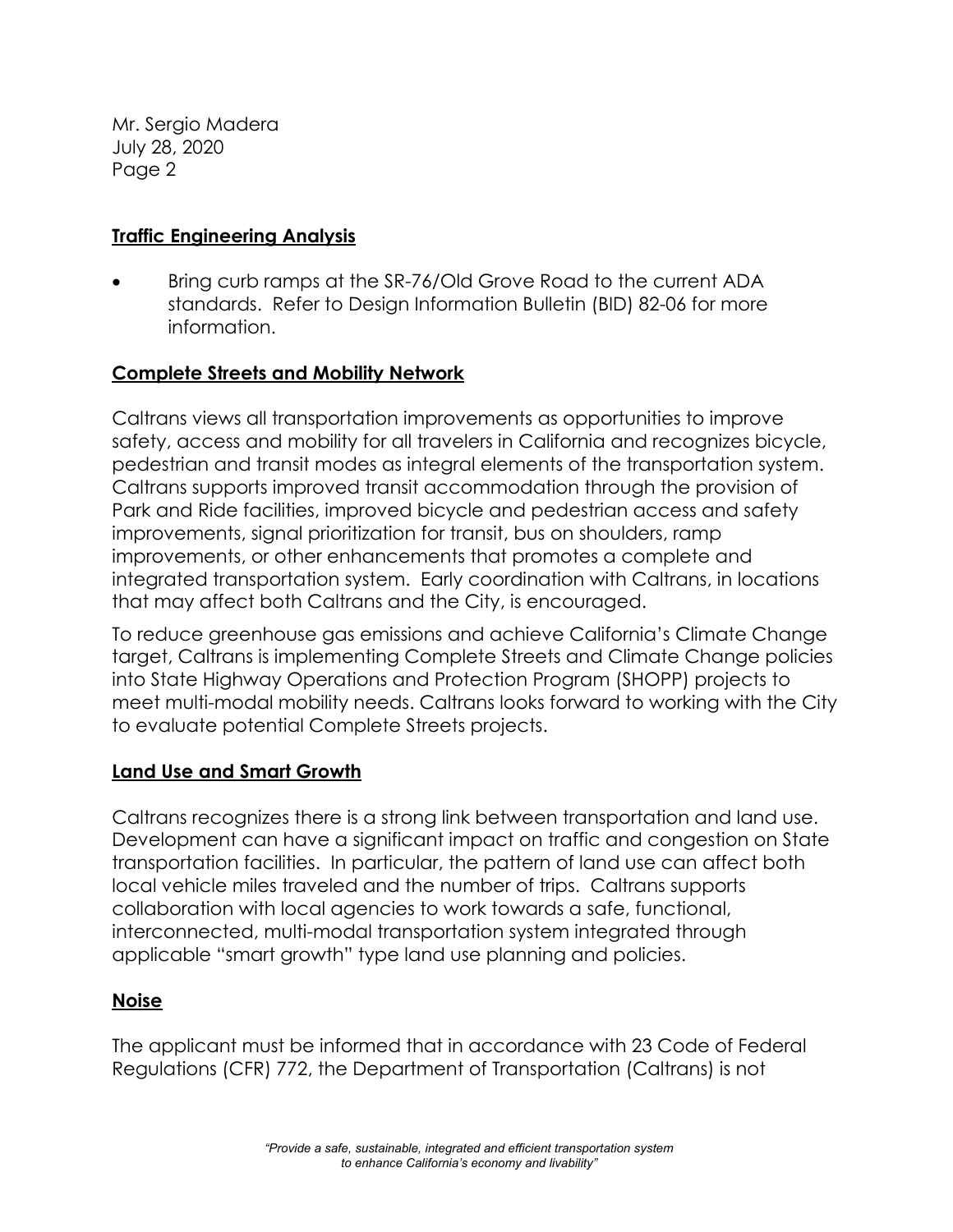Mr. Sergio Madera July 28, 2020 Page 2

## **Traffic Engineering Analysis**

• Bring curb ramps at the SR-76/Old Grove Road to the current ADA standards. Refer to Design Information Bulletin (BID) 82-06 for more information.

# **Complete Streets and Mobility Network**

Caltrans views all transportation improvements as opportunities to improve safety, access and mobility for all travelers in California and recognizes bicycle, pedestrian and transit modes as integral elements of the transportation system. Caltrans supports improved transit accommodation through the provision of Park and Ride facilities, improved bicycle and pedestrian access and safety improvements, signal prioritization for transit, bus on shoulders, ramp improvements, or other enhancements that promotes a complete and integrated transportation system. Early coordination with Caltrans, in locations that may affect both Caltrans and the City, is encouraged.

To reduce greenhouse gas emissions and achieve California's Climate Change target, Caltrans is implementing Complete Streets and Climate Change policies into State Highway Operations and Protection Program (SHOPP) projects to meet multi-modal mobility needs. Caltrans looks forward to working with the City to evaluate potential Complete Streets projects.

### **Land Use and Smart Growth**

Caltrans recognizes there is a strong link between transportation and land use. Development can have a significant impact on traffic and congestion on State transportation facilities. In particular, the pattern of land use can affect both local vehicle miles traveled and the number of trips. Caltrans supports collaboration with local agencies to work towards a safe, functional, interconnected, multi-modal transportation system integrated through applicable "smart growth" type land use planning and policies.

### **Noise**

The applicant must be informed that in accordance with 23 Code of Federal Regulations (CFR) 772, the Department of Transportation (Caltrans) is not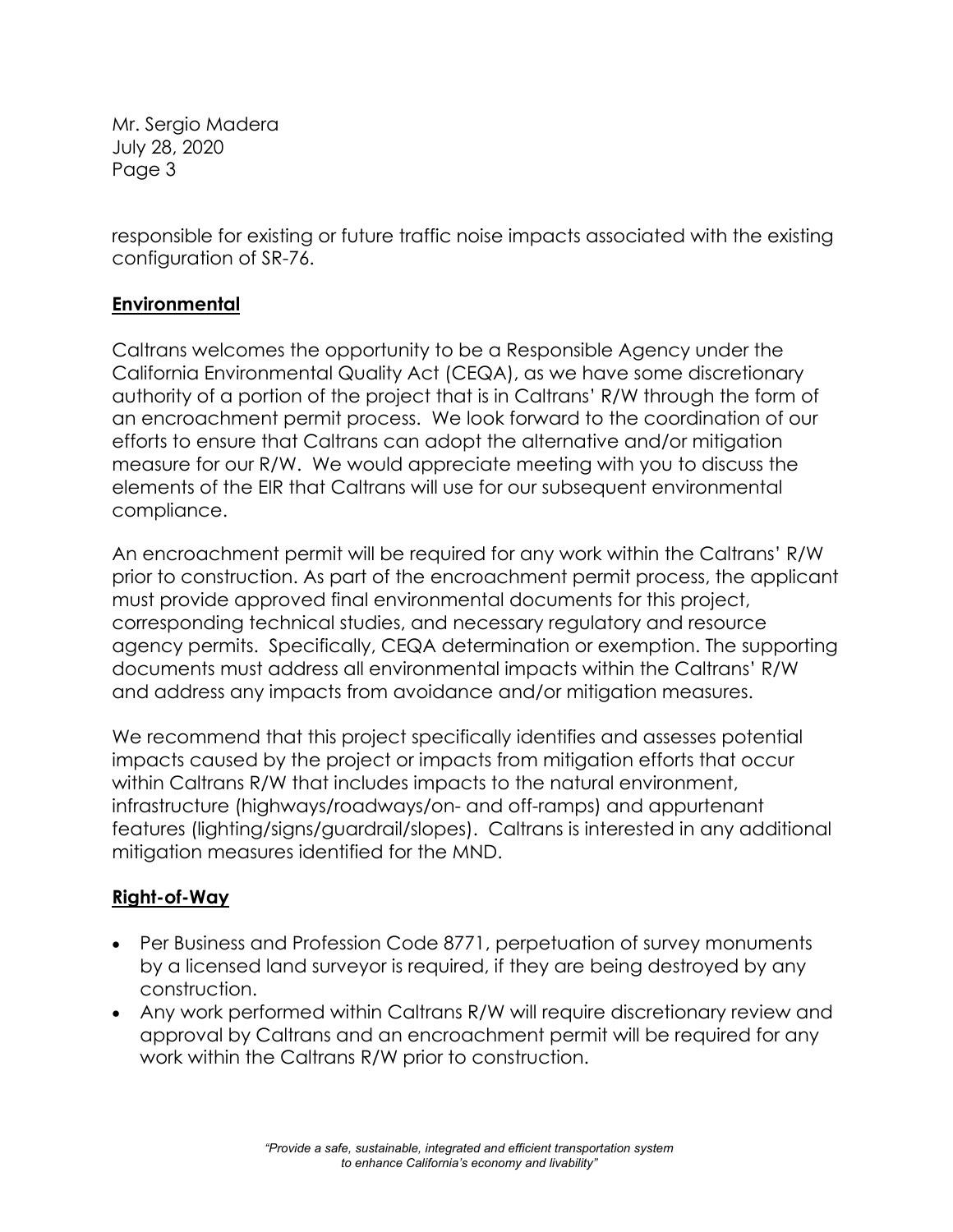Mr. Sergio Madera July 28, 2020 Page 3

responsible for existing or future traffic noise impacts associated with the existing configuration of SR-76.

# **Environmental**

Caltrans welcomes the opportunity to be a Responsible Agency under the California Environmental Quality Act (CEQA), as we have some discretionary authority of a portion of the project that is in Caltrans' R/W through the form of an encroachment permit process. We look forward to the coordination of our efforts to ensure that Caltrans can adopt the alternative and/or mitigation measure for our R/W. We would appreciate meeting with you to discuss the elements of the EIR that Caltrans will use for our subsequent environmental compliance.

An encroachment permit will be required for any work within the Caltrans' R/W prior to construction. As part of the encroachment permit process, the applicant must provide approved final environmental documents for this project, corresponding technical studies, and necessary regulatory and resource agency permits. Specifically, CEQA determination or exemption. The supporting documents must address all environmental impacts within the Caltrans' R/W and address any impacts from avoidance and/or mitigation measures.

We recommend that this project specifically identifies and assesses potential impacts caused by the project or impacts from mitigation efforts that occur within Caltrans R/W that includes impacts to the natural environment, infrastructure (highways/roadways/on- and off-ramps) and appurtenant features (lighting/signs/guardrail/slopes). Caltrans is interested in any additional mitigation measures identified for the MND.

### **Right-of-Way**

- Per Business and Profession Code 8771, perpetuation of survey monuments by a licensed land surveyor is required, if they are being destroyed by any construction.
- Any work performed within Caltrans R/W will require discretionary review and approval by Caltrans and an encroachment permit will be required for any work within the Caltrans R/W prior to construction.